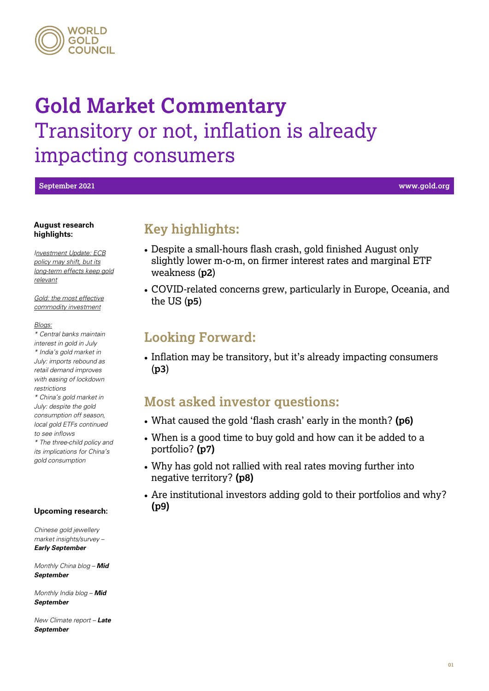#### **WORLD** GOLD **CUNCIL**

## **Gold Market Commentary** Transitory or not, inflation is already impacting consumers

**September 2021 www.gold.org**

#### **August research highlights:**

*[Investment Update: ECB](https://www.gold.org/goldhub/research/investment-update-gold-and-europe)  [policy may shift, but its](https://www.gold.org/goldhub/research/investment-update-gold-and-europe)  [long-term effects keep gold](https://www.gold.org/goldhub/research/investment-update-gold-and-europe)  [relevant](https://www.gold.org/goldhub/research/investment-update-gold-and-europe)*

*[Gold: the most effective](https://www.gold.org/goldhub/research/gold-most-effective-commodity-investment-2021-edition)  [commodity investment](https://www.gold.org/goldhub/research/gold-most-effective-commodity-investment-2021-edition)*

#### *[Blogs:](https://www.gold.org/goldhub/gold-focus)*

*\* [Central banks maintain](https://www.gold.org/goldhub/gold-focus) [interest in gold in July](https://www.gold.org/goldhub/gold-focus) \* [India's gold market in](https://www.gold.org/goldhub/gold-focus) [July: imports](https://www.gold.org/goldhub/gold-focus) rebound as [retail demand improves](https://www.gold.org/goldhub/gold-focus)  [with easing of lockdown](https://www.gold.org/goldhub/gold-focus)  [restrictions](https://www.gold.org/goldhub/gold-focus)*

*\* [China's gold market in](https://www.gold.org/goldhub/gold-focus) [July: despite the gold](https://www.gold.org/goldhub/gold-focus)  [consumption off season,](https://www.gold.org/goldhub/gold-focus)  [local gold ETFs continued](https://www.gold.org/goldhub/gold-focus)  [to see inflows](https://www.gold.org/goldhub/gold-focus)*

*\* [The three-child policy and](https://www.gold.org/goldhub/gold-focus) [its implications for China's](https://www.gold.org/goldhub/gold-focus)  [gold consumption](https://www.gold.org/goldhub/gold-focus)*

#### **Upcoming research:**

*Chinese gold jewellery market insights/survey – Early September*

*Monthly China blog – Mid September*

*Monthly India blog – Mid September*

*New Climate report – Late September*

## **Key highlights:**

- Despite a small-hours flash crash, gold finished August only slightly lower m-o-m, on firmer interest rates and marginal ETF weakness (**p2**)
- COVID-related concerns grew, particularly in Europe, Oceania, and the US (**p5**)

## **Looking Forward:**

• Inflation may be transitory, but it's already impacting consumers (**p3**)

## **Most asked investor questions:**

- What caused the gold 'flash crash' early in the month? **(p6)**
- When is a good time to buy gold and how can it be added to a portfolio? **(p7)**
- Why has gold not rallied with real rates moving further into negative territory? **(p8)**
- Are institutional investors adding gold to their portfolios and why? **(p9)**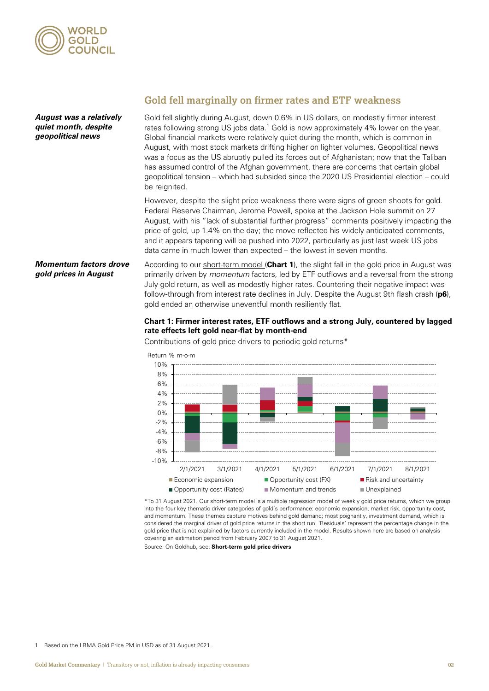

Gold fell slightly during August, down 0.6% in US dollars, on modestly firmer interest rates following strong US jobs data.<sup>[1](#page-1-0)</sup> Gold is now approximately 4% lower on the year. Global financial markets were relatively quiet during the month, which is common in August, with most stock markets drifting higher on lighter volumes. Geopolitical news was a focus as the US abruptly pulled its forces out of Afghanistan; now that the Taliban has assumed control of the Afghan government, there are concerns that certain global geopolitical tension – which had subsided since the 2020 US Presidential election – could be reignited. However, despite the slight price weakness there were signs of green shoots for gold. Federal Reserve Chairman, Jerome Powell, spoke at the Jackson Hole summit on 27 August, with his "lack of substantial further progress" comments positively impacting the price of gold, up 1.4% on the day; the move reflected his widely anticipated comments, *August was a relatively quiet month, despite geopolitical news*

According to our [short-term model](https://www.gold.org/goldhub/data/short-term-gold-price-drivers) (**Chart 1**), the slight fall in the gold price in August was primarily driven by *momentum* factors, led by ETF outflows and a reversal from the strong July gold return, as well as modestly higher rates. Countering their negative impact was follow-through from interest rate declines in July. Despite the August 9th flash crash (**p6**), gold ended an otherwise uneventful month resiliently flat. *Momentum factors drove gold prices in August*

data came in much lower than expected – the lowest in seven months.

#### **Chart 1: Firmer interest rates, ETF outflows and a strong July, countered by lagged rate effects left gold near-flat by month-end**

and it appears tapering will be pushed into 2022, particularly as just last week US jobs

Contributions of gold price drivers to periodic gold returns\*



\*To 31 August 2021. Our short-term model is a multiple regression model of weekly gold price returns, which we group into the four key thematic driver categories of gold's performance: economic expansion, market risk, opportunity cost, and momentum. These themes capture motives behind gold demand; most poignantly, investment demand, which is considered the marginal driver of gold price returns in the short run. 'Residuals' represent the percentage change in the gold price that is not explained by factors currently included in the model. Results shown here are based on analysis covering an estimation period from February 2007 to 31 August 2021.

Source: On Goldhub, see: **Short-term gold price drivers**

<span id="page-1-0"></span>1 Based on the LBMA Gold Price PM in USD as of 31 August 2021.

### **Gold fell marginally on firmer rates and ETF weakness**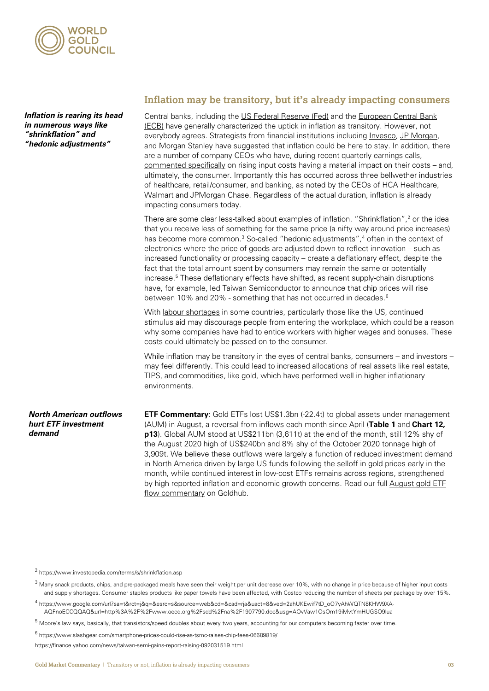

*Inflation is rearing its head in numerous ways like "shrinkflation" and "hedonic adjustments"*

#### **Inflation may be transitory, but it's already impacting consumers**

Central banks, including th[e US Federal Reserve \(Fed\)](https://www.reuters.com/world/us/fund-managers-position-transitory-us-inflation-2021-08-12/) and the European Central Bank [\(ECB\)](https://www.brusselsreport.eu/2021/05/31/why-eurozone-inflation-will-not-be-transitory/) have generally characterized the uptick in inflation as transitory. However, not everybody agrees. Strategists from financial institutions includin[g Invesco,](https://www.invesco.com/emea/en/invesco-insights/insights/entering-the-inflation-debate-transitory-or-here-to-stay.html) [JP Morgan,](https://www.gobankingrates.com/banking/banks/jamie-dimon-makes-500-billion-dollar-bet-inflation-here-stay/) an[d Morgan Stanley](https://www.businessinsider.com.au/stock-market-outlook-sp-500-correction-morgan-stanley-shalett-risk-2021-9) have suggested that inflation could be here to stay. In addition, there are a number of company CEOs who have, during recent quarterly earnings calls, [commented specifically](https://www.axios.com/ceos-warn-inflation-alarm-sound-da5e2dcf-af16-4ca4-a1de-bdd03fbbe775.html) on rising input costs having a material impact on their costs – and, ultimately, the consumer. Importantly this has **occurred across three bellwether industries** of healthcare, retail/consumer, and banking, as noted by the CEOs of HCA Healthcare, Walmart and JPMorgan Chase. Regardless of the actual duration, inflation is already impacting consumers today.

There are some clear less-talked about examples of inflation. "Shrinkflation", [2](#page-2-0) or the idea that you receive less of something for the same price (a nifty way around price increases) has become more common.<sup>[3](#page-2-0)</sup> So-called "hedonic adjustments",<sup>[4](#page-2-0)</sup> often in the context of electronics where the price of goods are adjusted down to reflect innovation – such as increased functionality or processing capacity – create a deflationary effect, despite the fact that the total amount spent by consumers may remain the same or potentially increase. [5](#page-2-0) These deflationary effects have shifted, as recent supply-chain disruptions have, for example, led Taiwan Semiconductor to announce that chip prices will rise between 10% and 20% - something that has not occurred in decades. [6](#page-2-0)

With [labour shortages](https://www.forbes.com/sites/jackkelly/2021/07/06/why-wage-increases-and-sign-on-bonuses-arent-enticing-workers-to-search-for-new-jobs/?sh=2c7280121268) in some countries, particularly those like the US, continued stimulus aid may discourage people from entering the workplace, which could be a reason why some companies have had to entice workers with higher wages and bonuses. These costs could ultimately be passed on to the consumer.

While inflation may be transitory in the eyes of central banks, consumers – and investors – may feel differently. This could lead to increased allocations of real assets like real estate, TIPS, and commodities, like gold, which have performed well in higher inflationary environments.

#### *North American outflows hurt ETF investment demand*

**ETF Commentary**: Gold ETFs lost US\$1.3bn (-22.4t) to global assets under management (AUM) in August, a reversal from inflows each month since April (**Table 1** and **Chart 12, p13**). Global AUM stood at US\$211bn (3,611t) at the end of the month, still 12% shy of the August 2020 high of US\$240bn and 8% shy of the October 2020 tonnage high of 3,909t. We believe these outflows were largely a function of reduced investment demand in North America driven by large US funds following the selloff in gold prices early in the month, while continued interest in low-cost ETFs remains across regions, strengthened by high reported inflation and economic growth concerns. Read our full August [gold ETF](https://www.gold.org/goldhub/data/global-gold-backed-etf-holdings-and-flows/2021/may)  [flow commentary](https://www.gold.org/goldhub/data/global-gold-backed-etf-holdings-and-flows/2021/may) on Goldhub.

<sup>2</sup> <https://www.investopedia.com/terms/s/shrinkflation.asp>

<sup>3</sup> [Many snack products, chips,](https://www.businessinsider.com/shrinkflation-grocery-stores-pringles-cereal-candy-bars-chocolate-toilet-paper-cadbury-2021-7?op=1#frito-lay-just-shrunk-regular-bags-of-doritos-from-975-ounces-to-925-ounces-both-are-currently-for-sale-at-target-for-the-same-price-2) and pre-packaged meals have seen their weight per unit decrease over 10%, with no change in price because of higher input costs and supply shortages. Consumer staples products like paper towels have been affected, with Costco reducing the number of sheets per package by over 15%.

<sup>4</sup> https://www.google.com/url?sa=t&rct=j&q=&esrc=s&source=web&cd=&cad=rja&uact=8&ved=2ahUKEwif7tD\_oO7yAhWQTN8KHW9XA-AQFnoECCQQAQ&url=http%3A%2F%2Fwww.oecd.org%2Fsdd%2Fna%2F1907790.doc&usg=AOvVaw1OsOm19iMvtYmHUGSO9lua

 $5$  Moore's law says, basically, that transistors/speed doubles about every two years, accounting for our computers becoming faster over time.

<sup>6</sup> <https://www.slashgear.com/smartphone-prices-could-rise-as-tsmc-raises-chip-fees-06689819/>

<span id="page-2-0"></span>https://finance.yahoo.com/news/taiwan-semi-gains-report-raising-092031519.html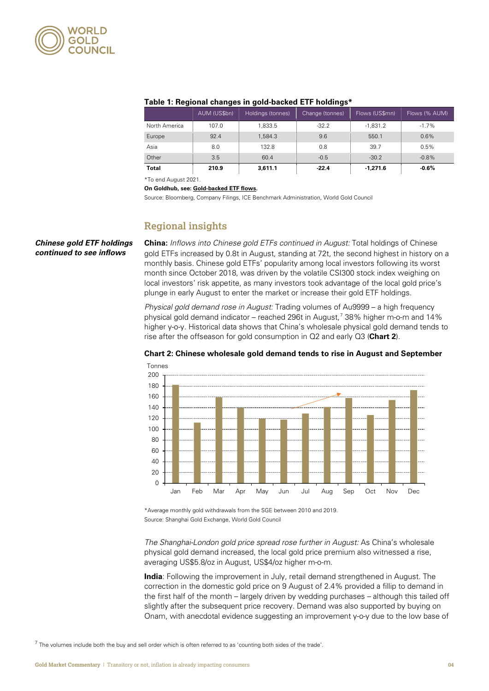

| <u>rabic 1. heyibnai chanyes in yolu-backed ETT holdinys</u> |              |                   |                 |                |               |  |  |  |  |  |
|--------------------------------------------------------------|--------------|-------------------|-----------------|----------------|---------------|--|--|--|--|--|
|                                                              | AUM (US\$bn) | Holdings (tonnes) | Change (tonnes) | Flows (US\$mn) | Flows (% AUM) |  |  |  |  |  |
| North America                                                | 107.0        | 1.833.5           | $-32.2$         | $-1,831.2$     | $-1.7%$       |  |  |  |  |  |
| Europe                                                       | 92.4         | 1.584.3           | 9.6             | 550.1          | 0.6%          |  |  |  |  |  |
| Asia                                                         | 8.0          | 132.8             | 0.8             | 39.7           | 0.5%          |  |  |  |  |  |
| Other                                                        | 3.5          | 60.4              | $-0.5$          | $-30.2$        | $-0.8%$       |  |  |  |  |  |
| <b>Total</b>                                                 | 210.9        | 3.611.1           | $-22.4$         | $-1,271.6$     | $-0.6%$       |  |  |  |  |  |

#### **Table 1: Regional changes in gold-backed ETF holdings\***

\*To end August 2021.

**On Goldhub, see[: Gold-backed ETF flows.](https://www.gold.org/goldhub/data/global-gold-backed-etf-holdings-and-flows)** 

Source: Bloomberg, Company Filings, ICE Benchmark Administration, World Gold Council

#### **Regional insights**

*Chinese gold ETF holdings continued to see inflows*

**China:** *Inflows into Chinese gold ETFs continued in August:* Total holdings of Chinese gold ETFs increased by 0.8t in August, standing at 72t, the second highest in history on a monthly basis. Chinese gold ETFs' popularity among local investors following its worst month since October 2018, was driven by the volatile CSI300 stock index weighing on local investors' risk appetite, as many investors took advantage of the local gold price's plunge in early August to enter the market or increase their gold ETF holdings.

*Physical gold demand rose in August:* Trading volumes of Au9999 – a high frequency physical gold demand indicator – reached 296t in August, [7](#page-3-0) 38% higher m-o-m and 14% higher y-o-y. Historical data shows that China's wholesale physical gold demand tends to rise after the offseason for gold consumption in Q2 and early Q3 (**Chart 2**).



#### **Chart 2: Chinese wholesale gold demand tends to rise in August and September**

\*Average monthly gold withdrawals from the SGE between 2010 and 2019. Source: Shanghai Gold Exchange, World Gold Council

*The Shanghai-London gold price spread rose further in August:* As China's wholesale physical gold demand increased, the local gold price premium also witnessed a rise, averaging US\$5.8/oz in August, US\$4/oz higher m-o-m.

**India**: Following the improvement in July, retail demand strengthened in August. The correction in the domestic gold price on 9 August of 2.4% provided a fillip to demand in the first half of the month – largely driven by wedding purchases – although this tailed off slightly after the subsequent price recovery. Demand was also supported by buying on Onam, with anecdotal evidence suggesting an improvement y-o-y due to the low base of

<span id="page-3-0"></span> $<sup>7</sup>$  The volumes include both the buy and sell order which is often referred to as 'counting both sides of the trade'.</sup>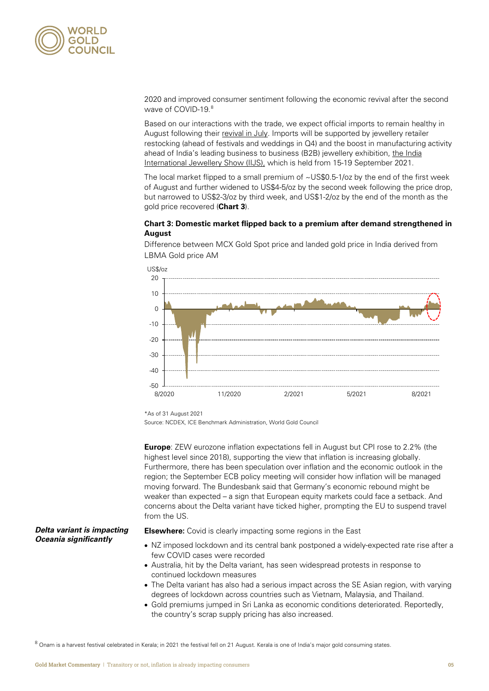

2020 and improved consumer sentiment following the economic revival after the second wave of COVID-19. [8](#page-4-0)

Based on our interactions with the trade, we expect official imports to remain healthy in August following their [revival in July.](https://www.gold.org/goldhub/gold-focus/2021/08/indias-gold-market-july-imports-rebound-retail-demand-improves) Imports will be supported by jewellery retailer restocking (ahead of festivals and weddings in Q4) and the boost in manufacturing activity ahead of India's leading business to business (B2B) jewellery exhibition, the [India](https://gjepc.org/iijs-premiere/)  [International Jewellery Show \(IIJS\),](https://gjepc.org/iijs-premiere/) which is held from 15-19 September 2021.

The local market flipped to a small premium of  $\sim$  US\$0.5-1/oz by the end of the first week of August and further widened to US\$4-5/oz by the second week following the price drop, but narrowed to US\$2-3/oz by third week, and US\$1-2/oz by the end of the month as the gold price recovered (**Chart 3**).

#### **Chart 3: Domestic market flipped back to a premium after demand strengthened in August**

Difference between MCX Gold Spot price and landed gold price in India derived from LBMA Gold price AM



\*As of 31 August 2021

Source: NCDEX, ICE Benchmark Administration, World Gold Council

**Europe**: ZEW eurozone inflation expectations fell in August but CPI rose to 2.2% (the highest level since 2018), supporting the view that inflation is increasing globally. Furthermore, there has been speculation over inflation and the economic outlook in the region; the September ECB policy meeting will consider how inflation will be managed moving forward. The Bundesbank said that Germany's economic rebound might be weaker than expected – a sign that European equity markets could face a setback. And concerns about the Delta variant have ticked higher, prompting the EU to suspend travel from the US.

#### *Delta variant is impacting O***ceania** *significantly*

**Elsewhere:** Covid is clearly impacting some regions in the East

- NZ imposed lockdown and its central bank postponed a widely-expected rate rise after a few COVID cases were recorded
- Australia, hit by the Delta variant, has seen widespread protests in response to continued lockdown measures
- The Delta variant has also had a serious impact across the SE Asian region, with varying degrees of lockdown across countries such as Vietnam, Malaysia, and Thailand.
- Gold premiums jumped in Sri Lanka as economic conditions deteriorated. Reportedly, the country's scrap supply pricing has also increased.

<span id="page-4-0"></span>8 Onam is a harvest festival celebrated in Kerala; in 2021 the festival fell on 21 August. Kerala is one of India's major gold consuming states.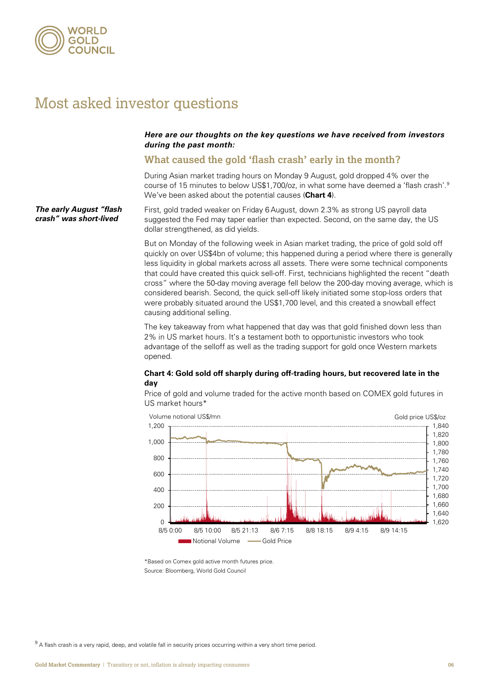

## Most asked investor questions

#### *Here are our thoughts on the key questions we have received from investors during the past month:*

#### **What caused the gold 'flash crash' early in the month?**

During Asian market trading hours on Monday 9 August, gold dropped 4% over the course of 15 minutes to below US\$1,700/oz, in what some have deemed a 'flash crash'.<sup>[9](#page-5-0)</sup> We've been asked about the potential causes (**Chart 4**).

First, gold traded weaker on Friday 6August, down 2.3% as strong US payroll data suggested the Fed may taper earlier than expected. Second, on the same day, the US dollar strengthened, as did yields. *The early August "flash crash" was short-lived*

> But on Monday of the following week in Asian market trading, the price of gold sold off quickly on over US\$4bn of volume; this happened during a period where there is generally less liquidity in global markets across all assets. There were some technical components that could have created this quick sell-off. First, technicians highlighted the recent "death cross" where the 50-day moving average fell below the 200-day moving average, which is considered bearish. Second, the quick sell-off likely initiated some stop-loss orders that were probably situated around the US\$1,700 level, and this created a snowball effect causing additional selling.

The key takeaway from what happened that day was that gold finished down less than 2% in US market hours. It's a testament both to opportunistic investors who took advantage of the selloff as well as the trading support for gold once Western markets opened.

#### **Chart 4: Gold sold off sharply during off-trading hours, but recovered late in the day**

Price of gold and volume traded for the active month based on COMEX gold futures in US market hours\*



\*Based on Comex gold active month futures price. Source: Bloomberg, World Gold Council

<span id="page-5-0"></span> $9$  A flash crash is a very rapid, deep, and volatile fall in [security](https://en.wikipedia.org/wiki/Security_(finance)) prices occurring within a very short time period.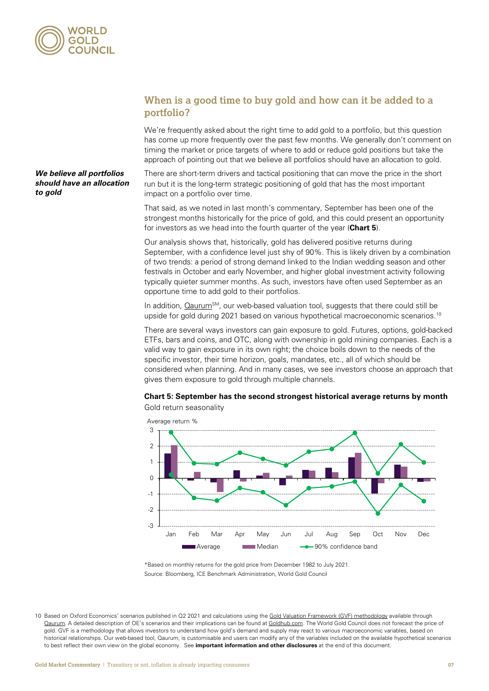

*We believe all portfolios should have an allocation* 

#### **When is a good time to buy gold and how can it be added to a portfolio?**

We're frequently asked about the right time to add gold to a portfolio, but this question has come up more frequently over the past few months. We generally don't comment on timing the market or price targets of where to add or reduce gold positions but take the approach of pointing out that we believe all portfolios should have an allocation to gold.

There are short-term drivers and tactical positioning that can move the price in the short run but it is the long-term strategic positioning of gold that has the most important impact on a portfolio over time.

That said, as we noted in last month's commentary, September has been one of the strongest months historically for the price of gold, and this could present an opportunity for investors as we head into the fourth quarter of the year (**Chart 5**).

Our analysis shows that, historically, gold has delivered positive returns during September, with a confidence level just shy of 90%. This is likely driven by a combination of two trends: a period of strong demand linked to the Indian wedding season and other festivals in October and early November, and higher global investment activity following typically quieter summer months. As such, investors have often used September as an opportune time to add gold to their portfolios.

In addition,  $\Omega$ aurum<sup>SM</sup>, our web-based valuation tool, suggests that there could still be upside for gold during 2021 based on various hypothetical macroeconomic scenarios.<sup>[10](#page-6-0)</sup>

There are several ways investors can gain exposure to gold. Futures, options, gold-backed ETFs, bars and coins, and OTC, along with ownership in gold mining companies. Each is a valid way to gain exposure in its own right; the choice boils down to the needs of the specific investor, their time horizon, goals, mandates, etc., all of which should be considered when planning. And in many cases, we see investors choose an approach that gives them exposure to gold through multiple channels.

#### **Chart 5: September has the second strongest historical average returns by month** Gold return seasonality





\*Based on monthly returns for the gold price from December 1982 to July 2021. Source: Bloomberg, ICE Benchmark Administration, World Gold Council

<span id="page-6-0"></span>10 Based on Oxford Economics' scenarios published in Q2 2021 and calculations using th[e Gold Valuation Framework](https://www.gold.org/download/file/14562/GVF_Methodology.pdf) (GVF) methodology available through [Qaurum.](https://www.gold.org/goldhub/portfolio-tools/gold-valuation-framework) A detailed description of OE's scenarios and their implications can be found a[t Goldhub.com.](https://www.gold.org/goldhub) The World Gold Council does not forecast the price of gold. GVF is a methodology that allows investors to understand how gold's demand and supply may react to various macroeconomic variables, based on historical relationships. Our web-based tool, Qaurum, is customisable and users can modify any of the variables included on the available hypothetical scenarios to best reflect their own view on the global economy. See **important information and other disclosures** at the end of this document.

# *to gold*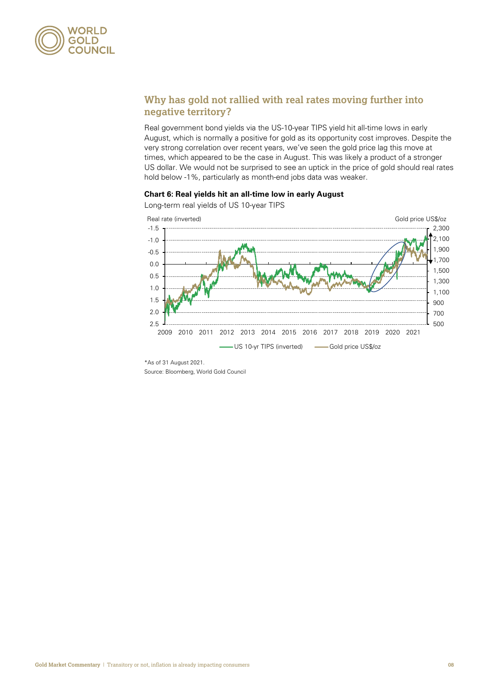

### **Why has gold not rallied with real rates moving further into negative territory?**

Real government bond yields via the US-10-year TIPS yield hit all-time lows in early August, which is normally a positive for gold as its opportunity cost improves. Despite the very strong correlation over recent years, we've seen the gold price lag this move at times, which appeared to be the case in August. This was likely a product of a stronger US dollar. We would not be surprised to see an uptick in the price of gold should real rates hold below -1%, particularly as month-end jobs data was weaker.

#### **Chart 6: Real yields hit an all-time low in early August**



Long-term real yields of US 10-year TIPS

Source: Bloomberg, World Gold Council

<sup>\*</sup>As of 31 August 2021.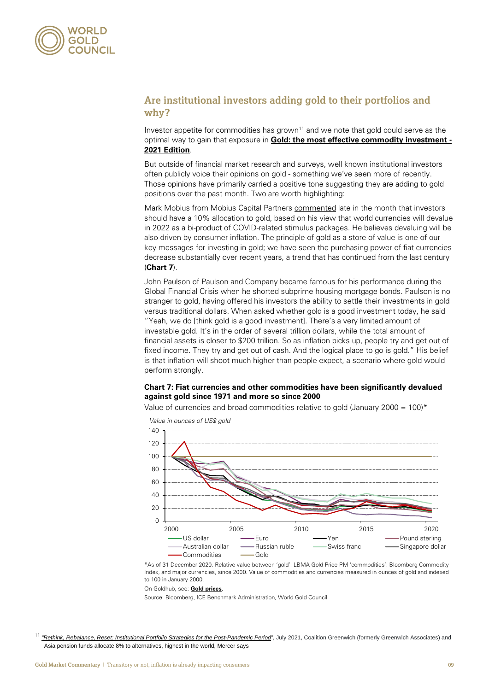

#### **Are institutional investors adding gold to their portfolios and why?**

Investor appetite for commodities has grown<sup>[11](#page-8-0)</sup> and we note that gold could serve as the optimal way to gain that exposure in **[Gold: the most effective commodity investment -](https://www.gold.org/goldhub/research/gold-most-effective-commodity-investment-2021-edition) [2021 Edition](https://www.gold.org/goldhub/research/gold-most-effective-commodity-investment-2021-edition)**.

But outside of financial market research and surveys, well known institutional investors often publicly voice their opinions on gold - something we've seen more of recently. Those opinions have primarily carried a positive tone suggesting they are adding to gold positions over the past month. Two are worth highlighting:

Mark Mobius from Mobius Capital Partner[s commented](https://30stades.com/2021/09/02/should-you-buy-gold-right-now-mark-mobius-has-turned-bullish-investment/) late in the month that investors should have a 10% allocation to gold, based on his view that world currencies will devalue in 2022 as a bi-product of COVID-related stimulus packages. He believes devaluing will be also driven by consumer inflation. The principle of gold as a store of value is one of our key messages for investing in gold; we have seen the purchasing power of fiat currencies decrease substantially over recent years, a trend that has continued from the last century (**Chart 7**).

John Paulson of Paulson and Company became famous for his performance during the Global Financial Crisis when he shorted subprime housing mortgage bonds. Paulson is no stranger to gold, having offered his investors the ability to settle their investments in gold versus traditional dollars. When aske[d whether gold is a good investment](https://www.bloomberg.com/news/newsletters/2021-09-02/investment-advice-from-john-paulson-where-to-bet-100-000) today, he said "Yeah, we do [think gold is a good investment]. There's a very limited amount of investable gold. It's in the order of several trillion dollars, while the total amount of financial assets is closer to \$200 trillion. So as inflation picks up, people try and get out of fixed income. They try and get out of cash. And the logical place to go is gold." His belief is that inflation will shoot much higher than people expect, a scenario where gold would perform strongly.

#### **Chart 7: Fiat currencies and other commodities have been significantly devalued against gold since 1971 and more so since 2000**

Value of currencies and broad commodities relative to gold (January 2000 = 100)\*



*Value in ounces of US\$ gold*

\*As of 31 December 2020. Relative value between 'gold': LBMA Gold Price PM 'commodities': Bloomberg Commodity Index, and major currencies, since 2000. Value of commodities and currencies measured in ounces of gold and indexed to 100 in January 2000.

#### On Goldhub, see: **Gold prices**.

Source: Bloomberg, ICE Benchmark Administration, World Gold Council

<span id="page-8-0"></span><sup>&</sup>lt;sup>11</sup> ["Rethink, Rebalance, Reset: Institutional Portfolio Strategies for the Post-Pandemic Period"](https://www.gold.org/goldhub/research/institutional-portfolio-strategies-for-the-post-pandemic-period), July 2021, Coalition Greenwich (formerly Greenwich Associates) and [Asia pension funds allocate 8% to alternatives, highest in the world, Mercer says](https://www.asiaasset.com/post/25053)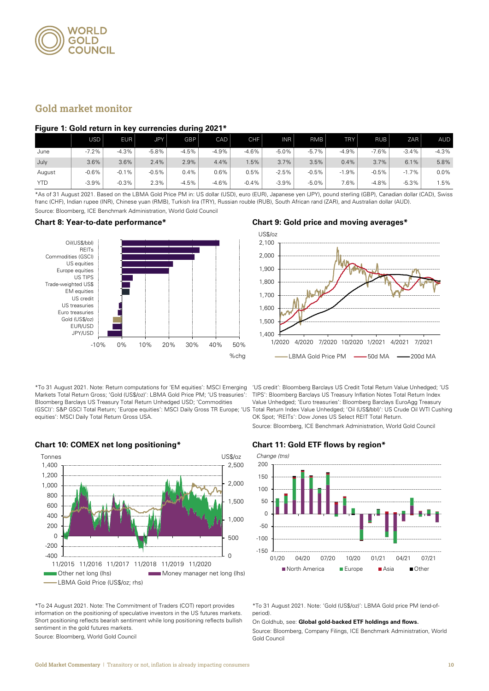

#### **Gold market monitor**

#### **Figure 1: Gold return in key currencies during 2021\***

|            | USD     | EUR     | JPY     | GBP     | CAD     | <b>CHF</b> | <b>INR</b> | <b>RMB</b> | <b>TRY</b> | <b>RUB</b> | ZAR     | <b>AUD</b> |
|------------|---------|---------|---------|---------|---------|------------|------------|------------|------------|------------|---------|------------|
| June       | $-7.2%$ | $-4.3%$ | $-5.8%$ | $-4.5%$ | $-4.9%$ | $-4.6%$    | $-5.0%$    | $-5.7%$    | $-4.9%$    | $-7.6%$    | $-3.4%$ | $-4.3%$    |
| July       | 3.6%    | 3.6%    | 2.4%    | 2.9%    | 4.4%    | .5%        | 3.7%       | 3.5%       | 0.4%       | 3.7%       | 6.1%    | 5.8%       |
| August     | $-0.6%$ | $-0.1%$ | $-0.5%$ | 0.4%    | 0.6%    | 0.5%       | $-2.5%$    | $-0.5%$    | $-1.9%$    | $-0.5%$    | $-1.7%$ | 0.0%       |
| <b>YTD</b> | $-3.9%$ | $-0.3%$ | 2.3%    | $-4.5%$ | $-4.6%$ | $-0.4%$    | $-3.9%$    | $-5.0%$    | 7.6%       | $-4.8%$    | $-5.3%$ | .5%        |

\*As of 31 August 2021. Based on the LBMA Gold Price PM in: US dollar (USD), euro (EUR), Japanese yen (JPY), pound sterling (GBP), Canadian dollar (CAD), Swiss franc (CHF), Indian rupee (INR), Chinese yuan (RMB), Turkish lira (TRY), Russian rouble (RUB), South African rand (ZAR), and Australian dollar (AUD). Source: Bloomberg, ICE Benchmark Administration, World Gold Council



\*To 31 August 2021. Note: Return computations for 'EM equities': MSCI Emerging Markets Total Return Gross; 'Gold (US\$/oz)': LBMA Gold Price PM; 'US treasuries': Bloomberg Barclays US Treasury Total Return Unhedged USD; 'Commodities (GSCI)': S&P GSCI Total Return; 'Europe equities': MSCI Daily Gross TR Europe; 'US Total Return Index Value Unhedged; 'Oil (US\$/bbl)': US Crude Oil WTI Cushing equities': MSCI Daily Total Return Gross USA.

#### **Chart 8: Year-to-date performance\* Chart 9: Gold price and moving averages\***



'US credit': Bloomberg Barclays US Credit Total Return Value Unhedged; 'US TIPS': Bloomberg Barclays US Treasury Inflation Notes Total Return Index Value Unhedged; 'Euro treasuries': Bloomberg Barclays EuroAgg Treasury OK Spot; 'REITs': Dow Jones US Select REIT Total Return. Source: Bloomberg, ICE Benchmark Administration, World Gold Council



**Chart 10: COMEX net long positioning\* Chart 11: Gold ETF flows by region\***



\*To 24 August 2021. Note: The Commitment of Traders (COT) report provides information on the positioning of speculative investors in the US futures markets. Short positioning reflects bearish sentiment while long positioning reflects bullish sentiment in the gold futures markets.

Source: Bloomberg, World Gold Council

\*To 31 August 2021. Note: 'Gold (US\$/oz)': LBMA Gold price PM (end-ofperiod).

On Goldhub, see: **[Global gold-backed ETF holdings and flows.](https://www.gold.org/goldhub/data/global-gold-backed-etf-holdings-and-flows)**

Source: Bloomberg, Company Filings, ICE Benchmark Administration, World Gold Council